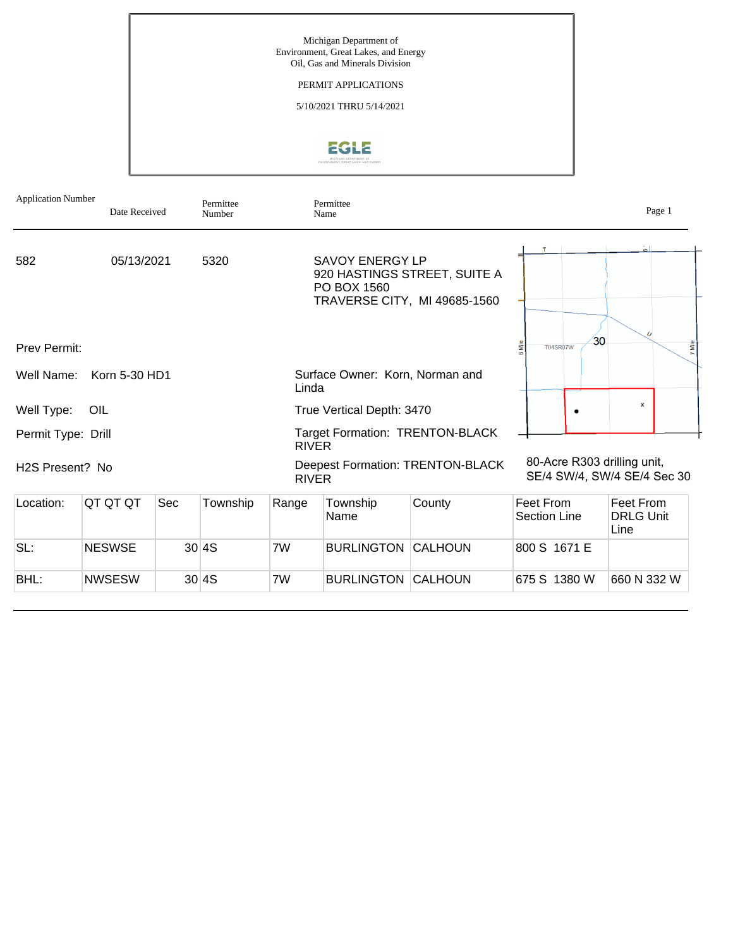

| <b>Application Number</b>    | Date Received |     | Permittee<br>Number |              | Permittee<br>Name                     |                                                              |                                  | Page 1                                                     |
|------------------------------|---------------|-----|---------------------|--------------|---------------------------------------|--------------------------------------------------------------|----------------------------------|------------------------------------------------------------|
| 582                          | 05/13/2021    |     | 5320                |              | <b>SAVOY ENERGY LP</b><br>PO BOX 1560 | 920 HASTINGS STREET, SUITE A<br>TRAVERSE CITY, MI 49685-1560 |                                  |                                                            |
| <b>Prev Permit:</b>          |               |     |                     |              |                                       |                                                              | <b>T04SR07W</b>                  | 30<br>7 Mile                                               |
| Well Name:                   | Korn 5-30 HD1 |     |                     | Linda        | Surface Owner: Korn, Norman and       |                                                              |                                  |                                                            |
| Well Type:                   | OIL           |     |                     |              | True Vertical Depth: 3470             |                                                              |                                  | x                                                          |
| Permit Type: Drill           |               |     |                     | <b>RIVER</b> |                                       | <b>Target Formation: TRENTON-BLACK</b>                       |                                  |                                                            |
| H <sub>2</sub> S Present? No |               |     |                     | <b>RIVER</b> |                                       | <b>Deepest Formation: TRENTON-BLACK</b>                      |                                  | 80-Acre R303 drilling unit,<br>SE/4 SW/4, SW/4 SE/4 Sec 30 |
| Location:                    | QT QT QT      | Sec | Township            | Range        | Township<br>Name                      | County                                                       | Feet From<br><b>Section Line</b> | Feet From<br><b>DRLG Unit</b><br>Line                      |
| SL:                          | <b>NESWSE</b> |     | 30 4S               | 7W           | <b>BURLINGTON CALHOUN</b>             |                                                              | 800 S 1671 E                     |                                                            |
| BHL:                         | <b>NWSESW</b> |     | 30 4S               | 7W           | <b>BURLINGTON</b>                     | <b>CALHOUN</b>                                               | 675 S 1380 W                     | 660 N 332 W                                                |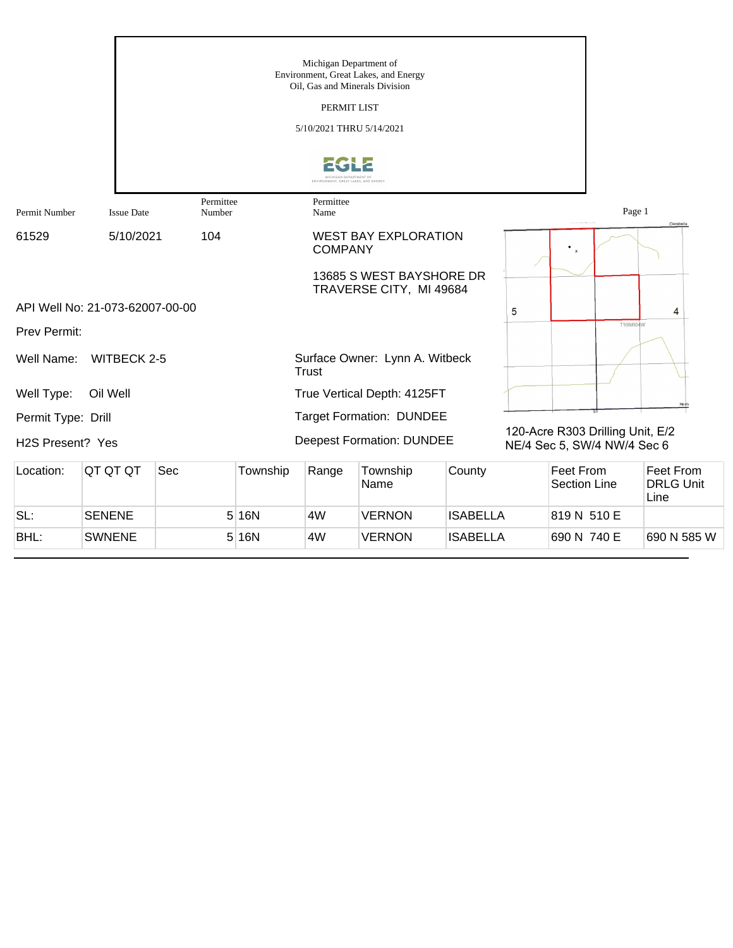|                    |                                 |                     |          | Michigan Department of<br>PERMIT LIST<br>5/10/2021 THRU 5/14/2021 | Environment, Great Lakes, and Energy<br>Oil, Gas and Minerals Division |                 |   |                                                                 |                                       |
|--------------------|---------------------------------|---------------------|----------|-------------------------------------------------------------------|------------------------------------------------------------------------|-----------------|---|-----------------------------------------------------------------|---------------------------------------|
| Permit Number      | <b>Issue Date</b>               | Permittee<br>Number |          | Permittee<br>Name                                                 |                                                                        |                 |   | Page 1                                                          |                                       |
| 61529              | 5/10/2021                       | 104                 |          | <b>COMPANY</b>                                                    | <b>WEST BAY EXPLORATION</b>                                            |                 |   |                                                                 | Clarabella                            |
|                    |                                 |                     |          |                                                                   | 13685 S WEST BAYSHORE DR<br>TRAVERSE CITY, MI 49684                    |                 |   |                                                                 |                                       |
|                    | API Well No: 21-073-62007-00-00 |                     |          |                                                                   |                                                                        |                 | 5 |                                                                 | 4                                     |
| Prev Permit:       |                                 |                     |          |                                                                   |                                                                        |                 |   | <b>T16NR04W</b>                                                 |                                       |
| Well Name:         | <b>WITBECK 2-5</b>              |                     |          | <b>Trust</b>                                                      | Surface Owner: Lynn A. Witbeck                                         |                 |   |                                                                 |                                       |
| Well Type:         | Oil Well                        |                     |          |                                                                   | True Vertical Depth: 4125FT                                            |                 |   |                                                                 | Hemi                                  |
| Permit Type: Drill |                                 |                     |          |                                                                   | <b>Target Formation: DUNDEE</b>                                        |                 |   |                                                                 |                                       |
| H2S Present? Yes   |                                 |                     |          |                                                                   | <b>Deepest Formation: DUNDEE</b>                                       |                 |   | 120-Acre R303 Drilling Unit, E/2<br>NE/4 Sec 5, SW/4 NW/4 Sec 6 |                                       |
| Location:          | QT QT QT                        | Sec                 | Township | Range                                                             | Township<br>Name                                                       | County          |   | Feet From<br><b>Section Line</b>                                | Feet From<br><b>DRLG Unit</b><br>Line |
| SL:                | <b>SENENE</b>                   |                     | 5 16N    | 4W                                                                | <b>VERNON</b>                                                          | <b>ISABELLA</b> |   | 819 N 510 E                                                     |                                       |
| BHL:               | <b>SWNENE</b>                   |                     | 5 16N    | 4W                                                                | <b>VERNON</b>                                                          | <b>ISABELLA</b> |   | 690 N 740 E                                                     | 690 N 585 W                           |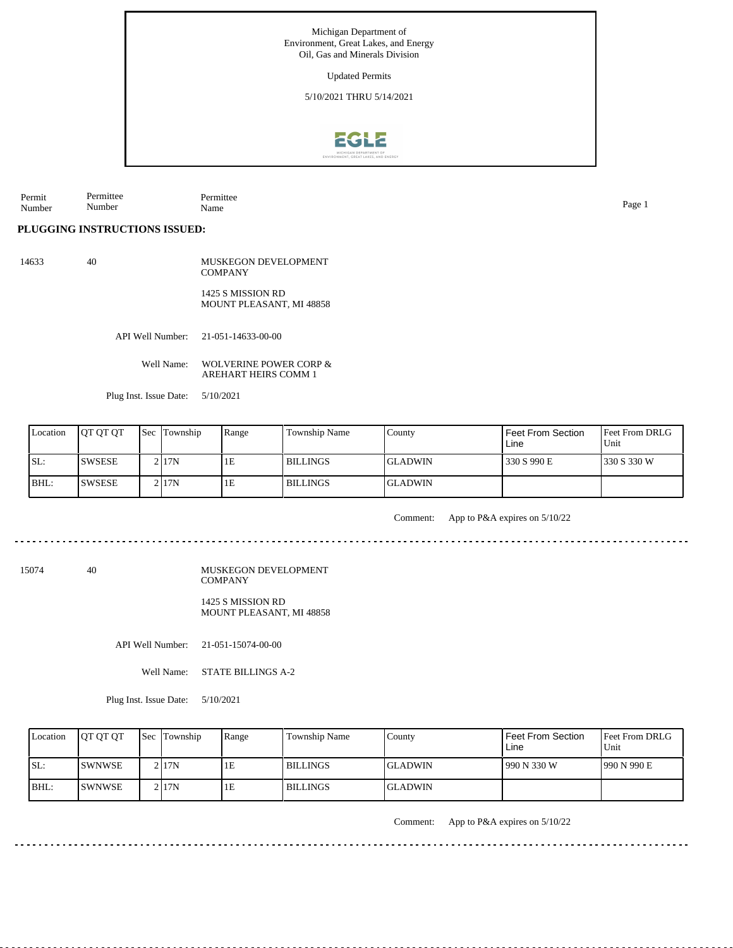## Updated Permits

5/10/2021 THRU 5/14/2021



Permit Number Permittee Number Permittee Name Page 1

**PLUGGING INSTRUCTIONS ISSUED:**

14633 40 MUSKEGON DEVELOPMENT **COMPANY** 

> 1425 S MISSION RD MOUNT PLEASANT, MI 48858

API Well Number: 21-051-14633-00-00

Well Name: WOLVERINE POWER CORP & AREHART HEIRS COMM 1

Plug Inst. Issue Date: 5/10/2021

| Location | <b>IOT OT OT</b> | <b>Sec</b> Township | Range | <b>Township Name</b> | County          | <b>Feet From Section</b><br>Line | <b>Feet From DRLG</b><br>Unit |
|----------|------------------|---------------------|-------|----------------------|-----------------|----------------------------------|-------------------------------|
| ISL:     | <b>ISWSESE</b>   | 2117N               | 1E    | <b>BILLINGS</b>      | <b>IGLADWIN</b> | 330 S 990 E                      | 1330 S 330 W                  |
| BHL:     | <b>ISWSESE</b>   | 2 I 17 N            | 1E    | <b>BILLINGS</b>      | <b>IGLADWIN</b> |                                  |                               |

. . . . . . . . .

Comment: App to P&A expires on 5/10/22

15074 40

MUSKEGON DEVELOPMENT **COMPANY** 1425 S MISSION RD

MOUNT PLEASANT, MI 48858

API Well Number: 21-051-15074-00-00

Well Name: STATE BILLINGS A-2

Plug Inst. Issue Date: 5/10/2021

| Location | <b>IOT OT OT</b> | <b>Sec Township</b> | Range | Township Name   | Countv          | Feet From Section<br>Line | <b>Feet From DRLG</b><br>Unit |
|----------|------------------|---------------------|-------|-----------------|-----------------|---------------------------|-------------------------------|
| SL:      | <b>ISWNWSE</b>   | 2117N               | ŦЕ    | <b>BILLINGS</b> | <b>IGLADWIN</b> | 990 N 330 W               | 1990 N 990 E                  |
| IBHL:    | <b>ISWNWSE</b>   | 2117N               | TE.   | <b>BILLINGS</b> | <b>IGLADWIN</b> |                           |                               |

. . . . . . .

Comment: App to P&A expires on 5/10/22

---------

<u> - - - - - - - - -</u>

. . . . . . . . . . . . . . . . . .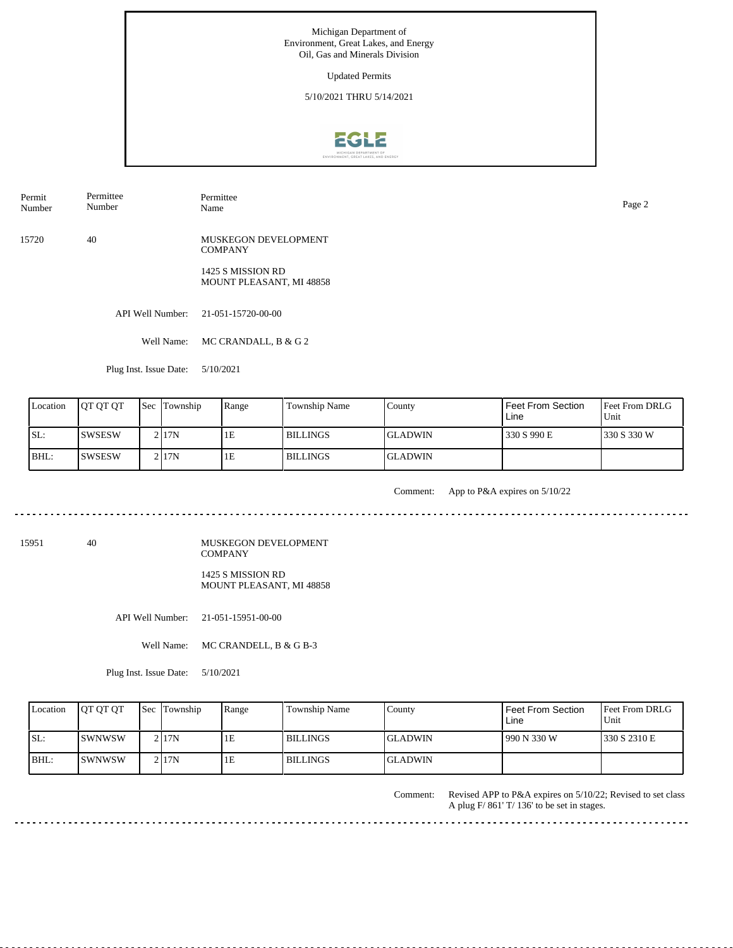Updated Permits

5/10/2021 THRU 5/14/2021



Permit Number Permittee Number

Permittee Name Page 2

15720 40 MUSKEGON DEVELOPMENT **COMPANY** 

> 1425 S MISSION RD MOUNT PLEASANT, MI 48858

API Well Number: 21-051-15720-00-00

Well Name: MC CRANDALL, B & G 2

Plug Inst. Issue Date: 5/10/2021

| Location | <b>IOT OT OT</b> | <b>Sec Township</b> | Range | Township Name   | County          | <b>Feet From Section</b><br>Line | <b>Feet From DRLG</b><br>Unit |
|----------|------------------|---------------------|-------|-----------------|-----------------|----------------------------------|-------------------------------|
| SL:      | <b>SWSESW</b>    | 2 I 17 N            | 1E    | <b>BILLINGS</b> | <b>IGLADWIN</b> | 330 S 990 E                      | 1330 S 330 W                  |
| IBHL:    | ISWSESW          | 2 I 17 N            | 1E    | <b>BILLINGS</b> | <b>GLADWIN</b>  |                                  |                               |

<u>. . . . . . . . .</u>

Comment: App to P&A expires on 5/10/22

15951 40

MUSKEGON DEVELOPMENT COMPANY 1425 S MISSION RD MOUNT PLEASANT, MI 48858

API Well Number: 21-051-15951-00-00

Well Name: MC CRANDELL, B & G B-3

Plug Inst. Issue Date: 5/10/2021

| Location | <b>IOT OT OT</b> | <b>Sec</b> Township | Range | Township Name   | County   | l Feet From Section<br>Line | <b>Feet From DRLG</b><br>Unit |
|----------|------------------|---------------------|-------|-----------------|----------|-----------------------------|-------------------------------|
| ISL:     | <b>ISWNWSW</b>   | 2117N               | ΙE    | <b>BILLINGS</b> | IGLADWIN | 1990 N 330 W                | 1330 S 2310 E                 |
| $IBHL$ : | ISWNWSW          | 21 <sub>17</sub> N  | ΙE    | <b>BILLINGS</b> | IGLADWIN |                             |                               |

Comment: Revised APP to P&A expires on 5/10/22; Revised to set class A plug F/ 861' T/ 136' to be set in stages.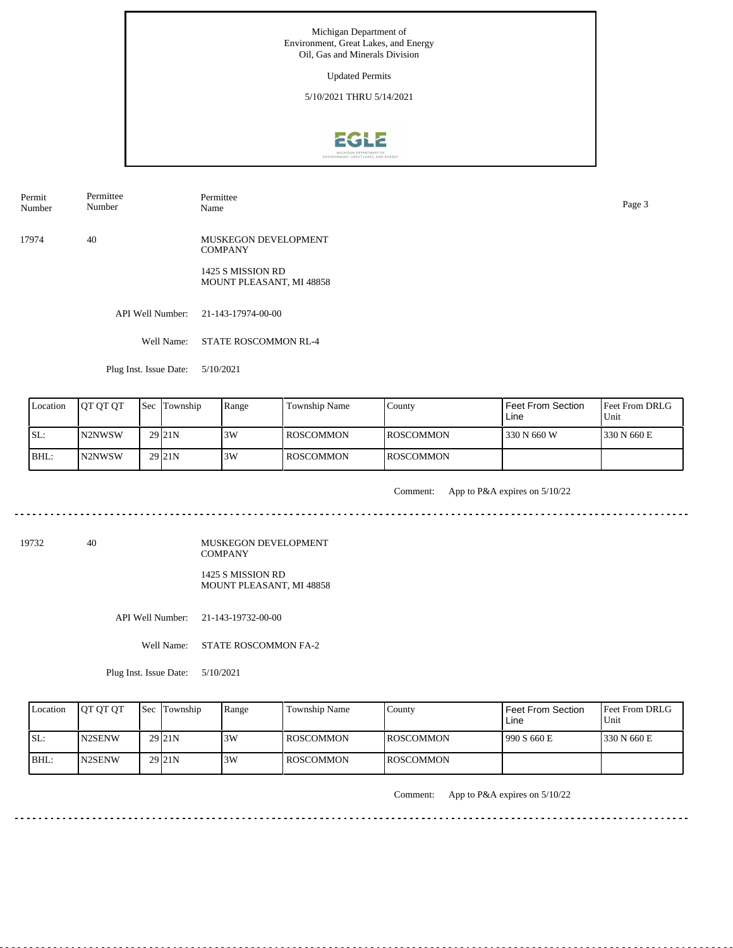Updated Permits

5/10/2021 THRU 5/14/2021



Permit Number Permittee Number

Permittee Name Page 3

17974 40 MUSKEGON DEVELOPMENT **COMPANY** 

> 1425 S MISSION RD MOUNT PLEASANT, MI 48858

API Well Number: 21-143-17974-00-00

Well Name: STATE ROSCOMMON RL-4

Plug Inst. Issue Date: 5/10/2021

| Location | <b>OT OT OT</b> | <b>Sec</b> Township | Range | Township Name    | County            | Feet From Section<br>Line | <b>Feet From DRLG</b><br>Unit |
|----------|-----------------|---------------------|-------|------------------|-------------------|---------------------------|-------------------------------|
| ISL:     | IN2NWSW         | 29 <sub>21N</sub>   | 3W    | <b>ROSCOMMON</b> | <b>IROSCOMMON</b> | 330 N 660 W               | 1330 N 660 E                  |
| BHL:     | IN2NWSW         | 29 <sub>21N</sub>   | 3W    | <b>ROSCOMMON</b> | <b>IROSCOMMON</b> |                           |                               |

. . . . . . . . . . . . . . .

Comment: App to P&A expires on 5/10/22

19732 40

MUSKEGON DEVELOPMENT COMPANY 1425 S MISSION RD MOUNT PLEASANT, MI 48858

API Well Number: 21-143-19732-00-00

Well Name: STATE ROSCOMMON FA-2

Plug Inst. Issue Date: 5/10/2021

| Location | <b>OT OT OT</b> | Sec Township        | Range | <b>Township Name</b> | County            | l Feet From Section_<br>Line | <b>Feet From DRLG</b><br>Unit |
|----------|-----------------|---------------------|-------|----------------------|-------------------|------------------------------|-------------------------------|
| ISL:     | <b>IN2SENW</b>  | 29 <sub>121</sub> N | 13W   | l ROSCOMMON.         | <b>IROSCOMMON</b> | 1990 S 660 E                 | 1330 N 660 E                  |
| $IBHL$ : | <b>IN2SENW</b>  | 29 <sub>121</sub> N | 3W    | ROSCOMMON            | <b>IROSCOMMON</b> |                              |                               |

Comment: App to P&A expires on 5/10/22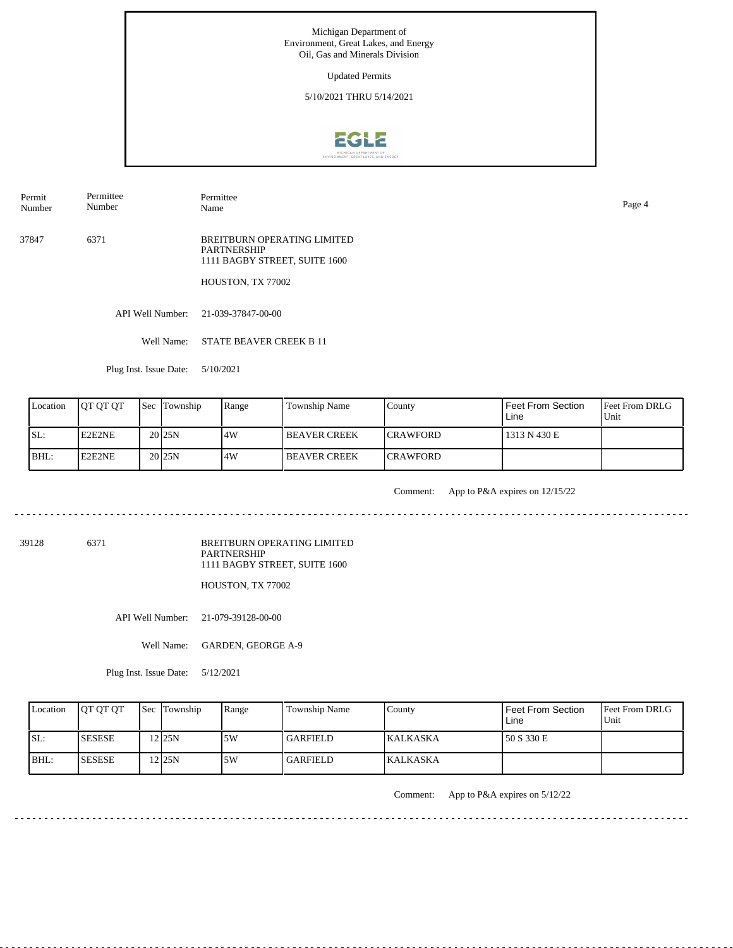Updated Permits

5/10/2021 THRU 5/14/2021



Permit Number Permittee Number

Permittee Name Page 4

37847 6371 BREITBURN OPERATING LIMITED PARTNERSHIP 1111 BAGBY STREET, SUITE 1600

HOUSTON, TX 77002

API Well Number: 21-039-37847-00-00

Well Name: STATE BEAVER CREEK B 11

Plug Inst. Issue Date: 5/10/2021

| Location | <b>OT OT OT</b> | <b>Sec Township</b> | Range | Township Name        | County           | Feet From Section<br>Line | <b>Feet From DRLG</b><br>Unit |
|----------|-----------------|---------------------|-------|----------------------|------------------|---------------------------|-------------------------------|
| SL:      | E2E2NE          | 20 <sub>125</sub> N | .4W   | <b>IBEAVER CREEK</b> | <b>ICRAWFORD</b> | 1313 N 430 E              |                               |
| BHL:     | E2E2NE          | 20 <sub>125</sub> N | 4W    | <b>IBEAVER CREEK</b> | <b>ICRAWFORD</b> |                           |                               |

. . . . . . . . .

Comment: App to P&A expires on 12/15/22

<u>. . . . . . . .</u>

39128 6371

BREITBURN OPERATING LIMITED PARTNERSHIP 1111 BAGBY STREET, SUITE 1600

HOUSTON, TX 77002

API Well Number: 21-079-39128-00-00

Well Name: GARDEN, GEORGE A-9

Plug Inst. Issue Date: 5/12/2021

| Location | <b>OT OT OT</b> | <b>Sec</b> Township | Range | <b>Township Name</b> | County          | l Feet From Section<br>Line | <b>Feet From DRLG</b><br>Unit |
|----------|-----------------|---------------------|-------|----------------------|-----------------|-----------------------------|-------------------------------|
| SL:      | <b>SESESE</b>   | 2125N               | .5W   | <b>GARFIELD</b>      | <b>KALKASKA</b> | 150 S 330 E                 |                               |
| BHL:     | <b>ISESESE</b>  | 2125N               | 5W    | GARFIELD_            | <b>KALKASKA</b> |                             |                               |

Comment: App to P&A expires on 5/12/22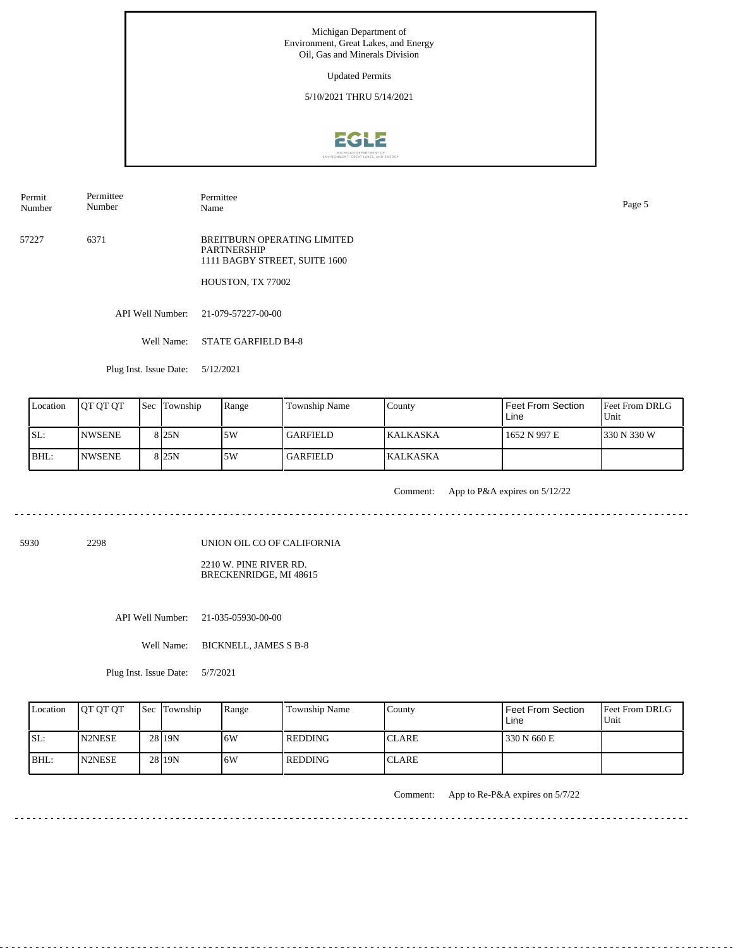Updated Permits

5/10/2021 THRU 5/14/2021



Permit Number Permittee Number

Permittee Name Page 5

57227 6371 BREITBURN OPERATING LIMITED PARTNERSHIP 1111 BAGBY STREET, SUITE 1600

HOUSTON, TX 77002

API Well Number: 21-079-57227-00-00

Well Name: STATE GARFIELD B4-8

Plug Inst. Issue Date: 5/12/2021

| Location | <b>IOT OT OT</b> | <b>Sec Township</b> | Range | Township Name   | County           | <b>Feet From Section</b><br>Line | l Feet From DRLG<br>Unit |
|----------|------------------|---------------------|-------|-----------------|------------------|----------------------------------|--------------------------|
| SL:      | <b>INWSENE</b>   | 8 <sub>25N</sub>    | 5W    | <b>GARFIELD</b> | <b>IKALKASKA</b> | 1652 N 997 E                     | 1330 N 330 W             |
| BHL:     | <b>INWSENE</b>   | 8 <sub>25N</sub>    | 5W    | <b>GARFIELD</b> | <b>KALKASKA</b>  |                                  |                          |

<u>. . . . . . .</u>

Comment: App to P&A expires on 5/12/22

5930 2298

UNION OIL CO OF CALIFORNIA

2210 W. PINE RIVER RD. BRECKENRIDGE, MI 48615

API Well Number: 21-035-05930-00-00

Well Name: BICKNELL, JAMES S B-8

Plug Inst. Issue Date: 5/7/2021

| Location | <b>IOT OT OT</b> | <b>Sec Township</b> | Range | Township Name | County       | l Feet From Section<br>Line | <b>Feet From DRLG</b><br>Unit |
|----------|------------------|---------------------|-------|---------------|--------------|-----------------------------|-------------------------------|
| SL:      | <b>N2NESE</b>    | 28 19N              | 6W    | l REDDING     | <b>CLARE</b> | 330 N 660 E                 |                               |
| IBHL:    | <b>IN2NESE</b>   | 28 19N              | 6W    | l REDDING     | <b>CLARE</b> |                             |                               |

Comment: App to Re-P&A expires on 5/7/22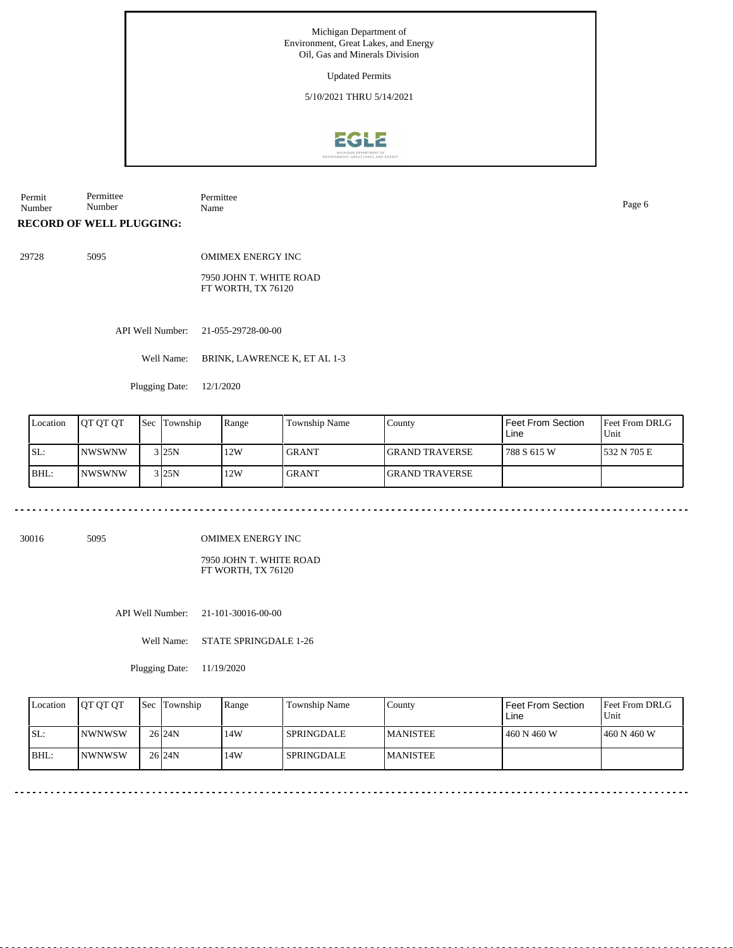Updated Permits

5/10/2021 THRU 5/14/2021



Permit Number Permittee Number Permittee Name Page 6

**RECORD OF WELL PLUGGING:**

29728 5095

OMIMEX ENERGY INC

7950 JOHN T. WHITE ROAD FT WORTH, TX 76120

API Well Number: 21-055-29728-00-00

Well Name: BRINK, LAWRENCE K, ET AL 1-3

Plugging Date: 12/1/2020

| Location | <b>IOT OT OT</b> | <b>Sec</b> | Township            | Range | <b>Township Name</b> | County                 | Feet From Section<br>Line | Feet From DRLG<br>Unit |
|----------|------------------|------------|---------------------|-------|----------------------|------------------------|---------------------------|------------------------|
| ISL:     | INWSWNW          |            | 3125N               | 12W   | <b>GRANT</b>         | <b>IGRAND TRAVERSE</b> | 788 S 615 W               | 532 N 705 E            |
| IBHL:    | INWSWNW          |            | $3$ <sub>25</sub> N | 12W   | <b>GRANT</b>         | <b>IGRAND TRAVERSE</b> |                           |                        |

30016 5095

OMIMEX ENERGY INC

7950 JOHN T. WHITE ROAD FT WORTH, TX 76120

API Well Number: 21-101-30016-00-00

Well Name: STATE SPRINGDALE 1-26

Plugging Date: 11/19/2020

| Location | <b>IOT OT OT</b> | Sec Township      | Range | <b>Township Name</b> | County           | Feet From Section<br>Line | <b>Feet From DRLG</b><br>Unit |
|----------|------------------|-------------------|-------|----------------------|------------------|---------------------------|-------------------------------|
| ISL:     | <b>INWNWSW</b>   | 26 <sub>24N</sub> | 14W   | <b>SPRINGDALE</b>    | <b>IMANISTEE</b> | 460 N 460 W               | 1460 N 460 W                  |
| BHL:     | <b>INWNWSW</b>   | 26 <sub>24N</sub> | 14W   | <b>SPRINGDALE</b>    | <b>MANISTEE</b>  |                           |                               |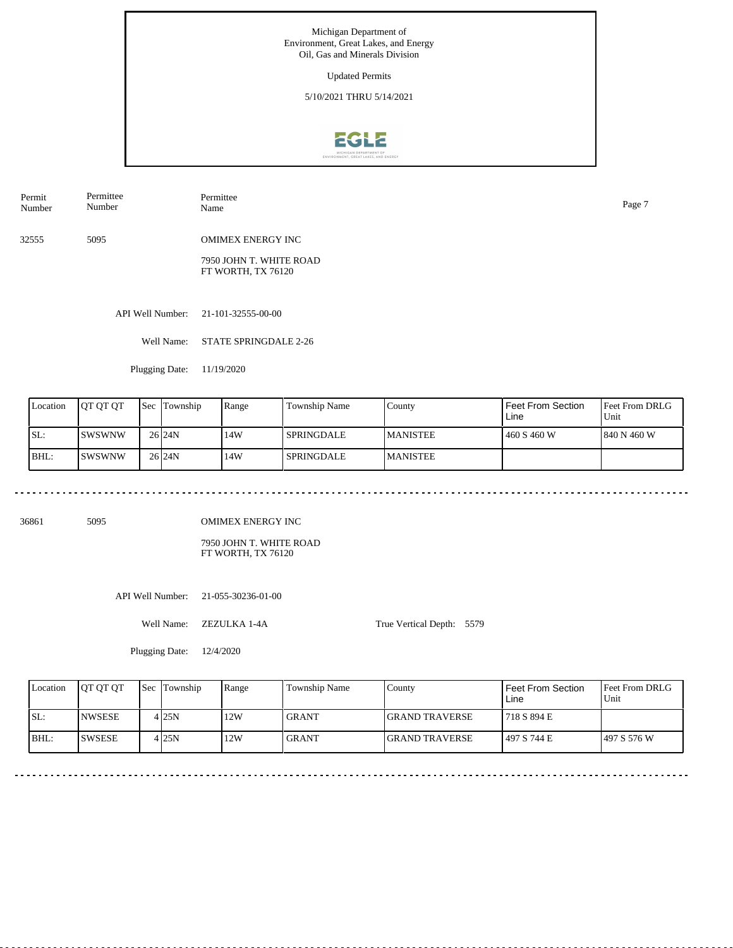Updated Permits

5/10/2021 THRU 5/14/2021



Permit Number Permittee Number Permittee Name Page 7

32555 5095 OMIMEX ENERGY INC

> 7950 JOHN T. WHITE ROAD FT WORTH, TX 76120

API Well Number: 21-101-32555-00-00

Well Name: STATE SPRINGDALE 2-26

Plugging Date: 11/19/2020

| Location | IOT OT OT | <b>Sec</b> | Township          | Range | Township Name     | County           | Feet From Section<br>Line | <b>Feet From DRLG</b><br>Unit |
|----------|-----------|------------|-------------------|-------|-------------------|------------------|---------------------------|-------------------------------|
| ISL:     | ISWSWNW   |            | 26 <sub>24N</sub> | 14W   | <b>SPRINGDALE</b> | <b>IMANISTEE</b> | 460 S 460 W               | 1840 N 460 W                  |
| BHL:     | ISWSWNW   |            | 26 <sub>24N</sub> | 14W   | <b>SPRINGDALE</b> | <b>IMANISTEE</b> |                           |                               |

36861 5095

OMIMEX ENERGY INC

7950 JOHN T. WHITE ROAD FT WORTH, TX 76120

API Well Number: 21-055-30236-01-00

Well Name: ZEZULKA 1-4A

Plugging Date: 12/4/2020

True Vertical Depth: 5579

Feet From DRLG Unit 497 S 576 W 718 S 894 E 497 S 744 E Feet From Section Line County GRAND TRAVERSE GRAND TRAVERSE Location | QT QT QT | Sec | Township | Range | Township Name SL: BHL: NWSESE SWSESE Sec Township 4 25N  $4|25N$ 25N 12W 12W GRANT GRANT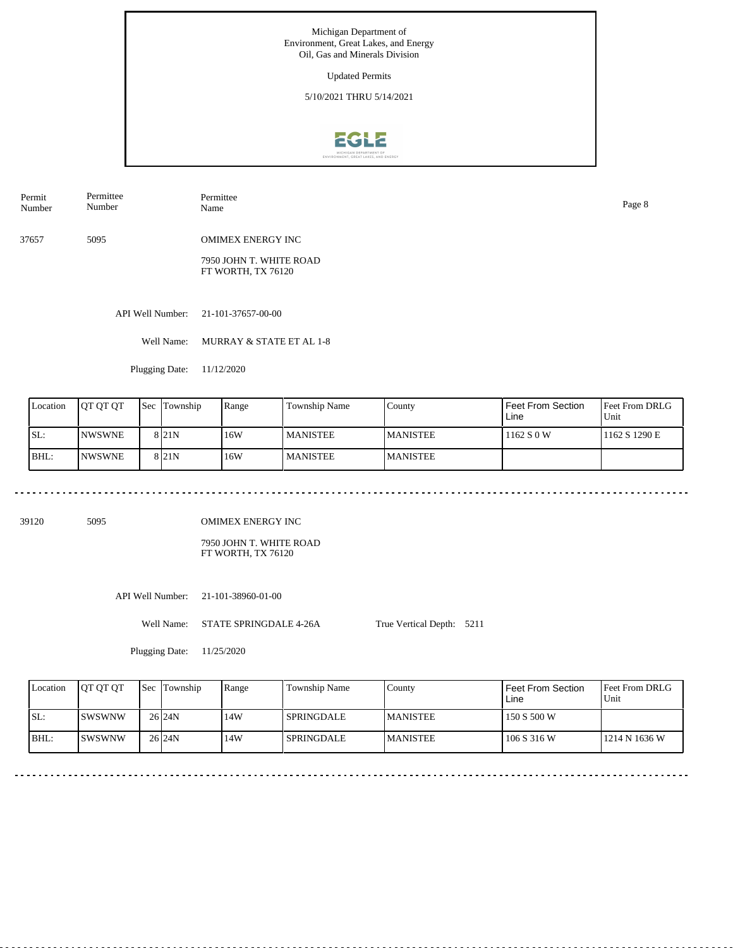Updated Permits

5/10/2021 THRU 5/14/2021



Permit Number Permittee Number Permittee

37657 5095 OMIMEX ENERGY INC

> 7950 JOHN T. WHITE ROAD FT WORTH, TX 76120

API Well Number: 21-101-37657-00-00

Well Name: MURRAY & STATE ET AL 1-8

Plugging Date: 11/12/2020

| Location | <b>JOT OT OT</b> | Sec | Township         | Range | Township Name   | County           | Feet From Section<br>Line | <b>Feet From DRLG</b><br>Unit |
|----------|------------------|-----|------------------|-------|-----------------|------------------|---------------------------|-------------------------------|
| ISL:     | <b>INWSWNE</b>   |     | 8 <sub>21N</sub> | 16W   | <b>MANISTEE</b> | <b>IMANISTEE</b> | 1162 S 0 W                | 1162 S 1290 E                 |
| BHL:     | <b>INWSWNE</b>   |     | 8 <sub>21N</sub> | 16W   | <b>MANISTEE</b> | <b>MANISTEE</b>  |                           |                               |

39120 5095

OMIMEX ENERGY INC

7950 JOHN T. WHITE ROAD FT WORTH, TX 76120

API Well Number: 21-101-38960-01-00

Well Name: STATE SPRINGDALE 4-26A True Vertical Depth: 5211

Plugging Date: 11/25/2020

| Location | <b>JOT OT OT</b> | <b>Sec</b> Township | Range | <b>Township Name</b> | County           | <b>Feet From Section</b><br>Line | <b>Feet From DRLG</b><br>Unit |
|----------|------------------|---------------------|-------|----------------------|------------------|----------------------------------|-------------------------------|
| SL:      | <b>ISWSWNW</b>   | 26 <sub>24N</sub>   | 14W   | <b>SPRINGDALE</b>    | <b>IMANISTEE</b> | 150 S 500 W                      |                               |
| IBHL:    | ISWSWNW          | 26 <sub>124N</sub>  | 14W   | <b>SPRINGDALE</b>    | <b>MANISTEE</b>  | 106 S 316 W                      | 1214 N 1636 W                 |

Name Page 8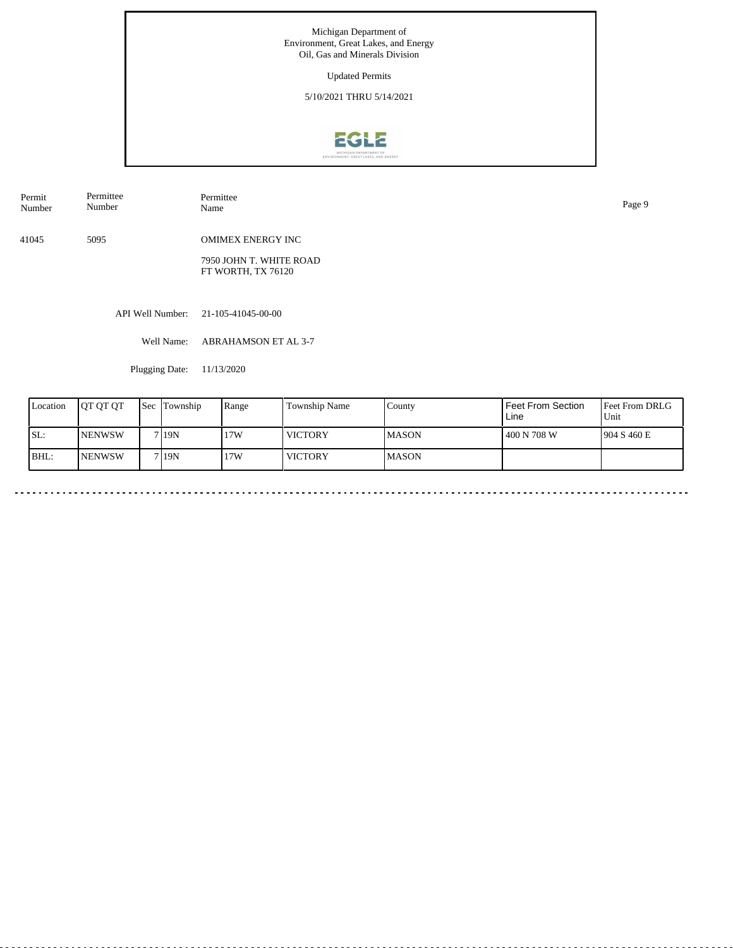Updated Permits

5/10/2021 THRU 5/14/2021



| Permit | Permittee | Permittee                | Page 9 |
|--------|-----------|--------------------------|--------|
| Number | Number    | Name                     |        |
| 41045  | 5095      | <b>OMIMEX ENERGY INC</b> |        |

7950 JOHN T. WHITE ROAD FT WORTH, TX 76120

API Well Number: 21-105-41045-00-00

Well Name: ABRAHAMSON ET AL 3-7

Plugging Date: 11/13/2020

| Location | IOT OT OT      | <b>Sec</b> | Township          | Range | Township Name  | County        | Feet From Section<br>Line | <b>Feet From DRLG</b><br>Unit |
|----------|----------------|------------|-------------------|-------|----------------|---------------|---------------------------|-------------------------------|
| SL:      | <b>INENWSW</b> |            | 7 <sub>19</sub> N | 17W   | <b>VICTORY</b> | <b>IMASON</b> | 400 N 708 W               | 1904 S 460 E                  |
| BHL:     | <b>INENWSW</b> |            | 7 <sub>19</sub> N | 17W   | <b>VICTORY</b> | <b>IMASON</b> |                           |                               |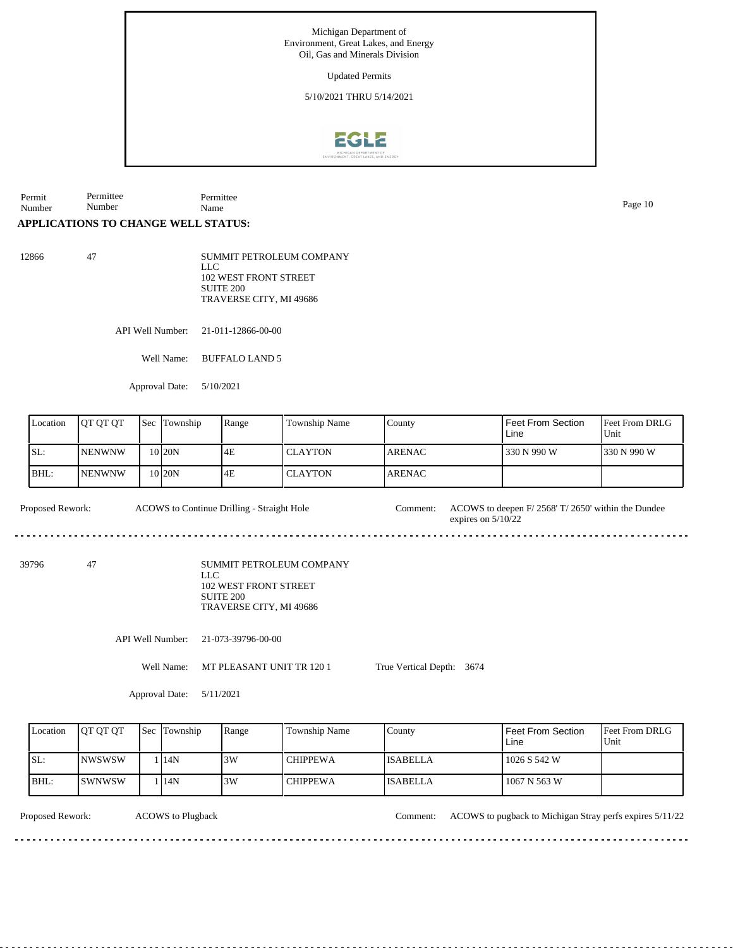Updated Permits

5/10/2021 THRU 5/14/2021



Permit Number Permittee Number Permittee Name Page 10

## **APPLICATIONS TO CHANGE WELL STATUS:**

12866 47 SUMMIT PETROLEUM COMPANY LLC 102 WEST FRONT STREET SUITE 200 TRAVERSE CITY, MI 49686

API Well Number: 21-011-12866-00-00

Well Name: BUFFALO LAND 5

Approval Date: 5/10/2021

| Location | JOT OT OT      | Sec | Township | Range | Township Name  | County        | l Feet From Section<br>Line | Feet From DRLG<br>Unit |
|----------|----------------|-----|----------|-------|----------------|---------------|-----------------------------|------------------------|
| SL:      | <b>INENWNW</b> |     | 10 I20N  | 4E    | <b>CLAYTON</b> | <b>ARENAC</b> | 330 N 990 W                 | 330 N 990 W            |
| BHL:     | <b>INENWNW</b> |     | 10 I20N  | 4E    | <b>CLAYTON</b> | <b>ARENAC</b> |                             |                        |

Proposed Rework: ACOWS to Continue Drilling - Straight Hole Comment: ACOWS to deepen F/ 2568' T/ 2650' within the Dundee ACOWS to Continue Drilling - Straight Hole

39796 47

SUMMIT PETROLEUM COMPANY LLC 102 WEST FRONT STREET SUITE 200 TRAVERSE CITY, MI 49686

API Well Number: 21-073-39796-00-00

Well Name: MT PLEASANT UNIT TR 120 1

True Vertical Depth: 3674

expires on 5/10/22

Approval Date: 5/11/2021

| Location | <b>IOT OT OT</b> | <b>Sec Township</b> | Range | Township Name   | County          | Feet From Section<br>Line | <b>Feet From DRLG</b><br>Unit |
|----------|------------------|---------------------|-------|-----------------|-----------------|---------------------------|-------------------------------|
| SL:      | INWSWSW          | 14N                 | 3W    | <b>CHIPPEWA</b> | <b>ISABELLA</b> | 1026 S 542 W              |                               |
| $IBHL$ : | ISWNWSW          | 14N                 | 3W    | <b>CHIPPEWA</b> | <b>ISABELLA</b> | 1067 N 563 W              |                               |

ACOWS to Plugback

Proposed Rework: ACOWS to Plugback to Plugback to Plugback to Plugback to Plugback to Plugback to Plugback to Plugback to Plugback to Plugback to Plugback to Plugback to Plugback to Plugback to Plugback to Plugback to Plug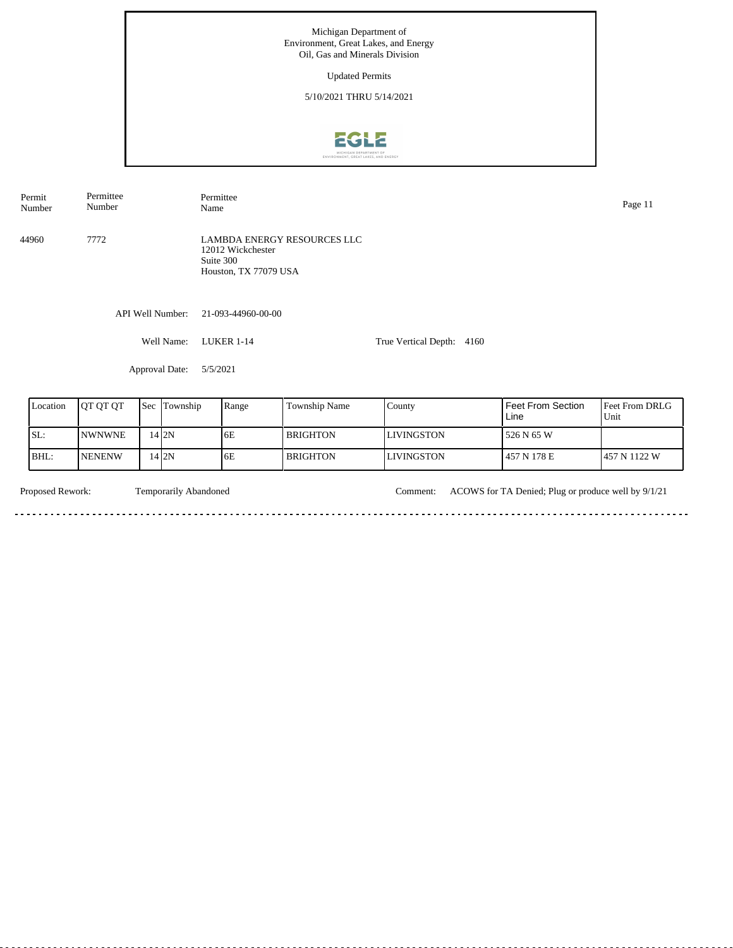Updated Permits

5/10/2021 THRU 5/14/2021



Permit Number Permittee Number Permittee Name Page 11

44960 7772

LAMBDA ENERGY RESOURCES LLC 12012 Wickchester Suite 300 Houston, TX 77079 USA

API Well Number: 21-093-44960-00-00

Well Name: LUKER 1-14

True Vertical Depth: 4160

Approval Date: 5/5/2021

| Location | <b>JOT OT OT</b> | <b>Sec</b> Township | Range | <b>Township Name</b> | County            | <b>Feet From Section</b><br>Line | <b>IFeet From DRLG</b><br>Unit |
|----------|------------------|---------------------|-------|----------------------|-------------------|----------------------------------|--------------------------------|
| SL:      | <b>INWNWNE</b>   | 14 I 2 N            | 6E    | l BRIGHTON           | <b>LIVINGSTON</b> | 526 N 65 W                       |                                |
| BHL:     | <b>INENENW</b>   | 14 I 2 N            | 6E    | l BRIGHTON-          | <b>LIVINGSTON</b> | 457 N 178 E                      | 457 N 1122 W                   |

<u>. . . . . . . . . . . . . . . . . .</u>

 $\sim$ 

Temporarily Abandoned

<u>a da da da da d</u>

Proposed Rework: Temporarily Abandoned Comment: ACOWS for TA Denied; Plug or produce well by 9/1/21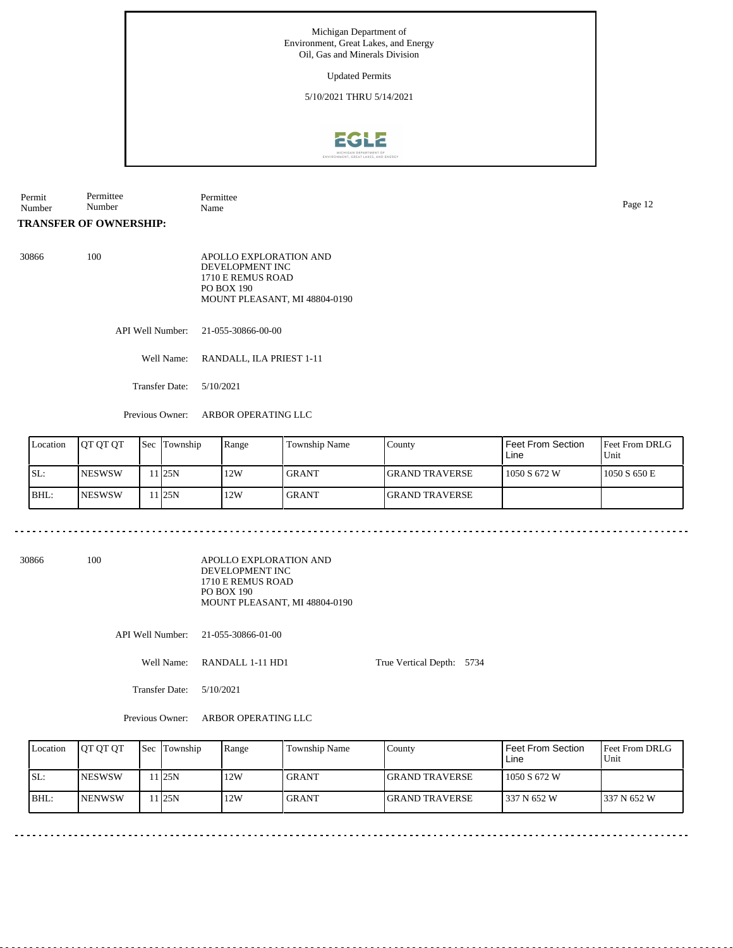## Updated Permits

5/10/2021 THRU 5/14/2021



Permit Number Permittee Number Permittee Name Page 12

**TRANSFER OF OWNERSHIP:**

30866 100 APOLLO EXPLORATION AND DEVELOPMENT INC 1710 E REMUS ROAD PO BOX 190 MOUNT PLEASANT, MI 48804-0190

API Well Number: 21-055-30866-00-00

Well Name: RANDALL, ILA PRIEST 1-11

Transfer Date: 5/10/2021

<u>. . . . . . . . . . . . . . . .</u>

Previous Owner: ARBOR OPERATING LLC

| Location | <b>IOT OT OT</b> | <b>Sec</b> Township | Range | Township Name | Countv                 | Feet From Section<br>Line | <b>Feet From DRLG</b><br>Unit |
|----------|------------------|---------------------|-------|---------------|------------------------|---------------------------|-------------------------------|
| ISL:     | <b>NESWSW</b>    | 1 25N               | 12W   | <b>GRANT</b>  | <b>IGRAND TRAVERSE</b> | 1050 S 672 W              | 1050 S 650 E                  |
| BHL:     | <b>NESWSW</b>    | 1 <sub>25N</sub>    | . 12W | <b>GRANT</b>  | <b>IGRAND TRAVERSE</b> |                           |                               |

30866 100

APOLLO EXPLORATION AND DEVELOPMENT INC 1710 E REMUS ROAD PO BOX 190 MOUNT PLEASANT, MI 48804-0190

API Well Number: 21-055-30866-01-00

Well Name: RANDALL 1-11 HD1

True Vertical Depth: 5734

Transfer Date: 5/10/2021

Previous Owner: ARBOR OPERATING LLC

| Location | <b>IOT OT OT</b> | <b>Sec Township</b> | Range | Township Name | County                 | Feet From Section<br>Line | <b>Feet From DRLG</b><br>Unit |
|----------|------------------|---------------------|-------|---------------|------------------------|---------------------------|-------------------------------|
| SL:      | <b>INESWSW</b>   | 125N                | 12W   | <b>GRANT</b>  | <b>IGRAND TRAVERSE</b> | 1050 S 672 W              |                               |
| $IBHL$ : | <b>INENWSW</b>   | 125N                | 12W   | <b>GRANT</b>  | <b>IGRAND TRAVERSE</b> | 337 N 652 W               | 1337 N 652 W                  |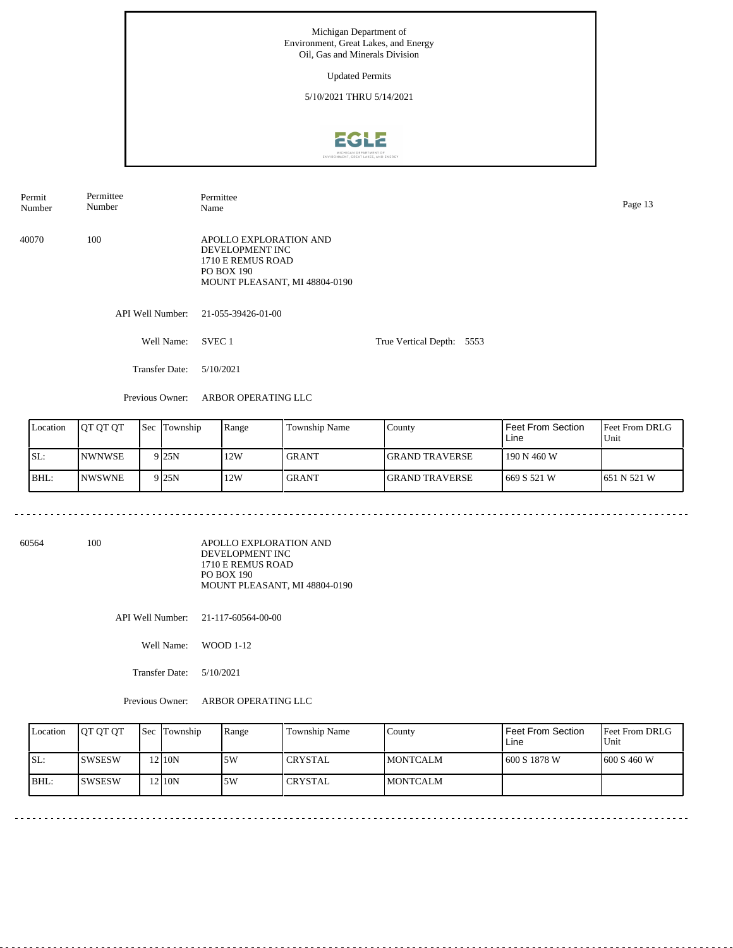Updated Permits

5/10/2021 THRU 5/14/2021



API Well Number: 21-055-39426-01-00 Well Name: SVEC 1 Transfer Date: 5/10/2021 True Vertical Depth: 5553 Previous Owner: ARBOR OPERATING LLC 40070 100 APOLLO EXPLORATION AND DEVELOPMENT INC 1710 E REMUS ROAD PO BOX 190 MOUNT PLEASANT, MI 48804-0190 Permit Number Permittee Number Permittee Page 13<br>Name Page 13

| Location | <b>OT OT OT</b> | <b>Sec Township</b> | Range | Township Name | County                 | Feet From Section<br>Line | <b>Feet From DRLG</b><br>Unit |
|----------|-----------------|---------------------|-------|---------------|------------------------|---------------------------|-------------------------------|
| SL:      | <b>INWNWSE</b>  | 9 <sub>25N</sub>    | 12W   | <b>GRANT</b>  | <b>IGRAND TRAVERSE</b> | 190 N 460 W               |                               |
| BHL:     | <b>INWSWNE</b>  | 9 <sub>25N</sub>    | 12W   | <b>GRANT</b>  | <b>IGRAND TRAVERSE</b> | 669 S 521 W               | 1651 N 521 W                  |

60564 100

APOLLO EXPLORATION AND DEVELOPMENT INC 1710 E REMUS ROAD PO BOX 190 MOUNT PLEASANT, MI 48804-0190

API Well Number: 21-117-60564-00-00

Well Name: WOOD 1-12

Transfer Date: 5/10/2021

Previous Owner: ARBOR OPERATING LLC

| Location | <b>JOT OT OT</b> | <b>Sec Township</b> | Range | Township Name   | County           | Feet From Section<br>Line | <b>Feet From DRLG</b><br>l Unit |
|----------|------------------|---------------------|-------|-----------------|------------------|---------------------------|---------------------------------|
| ISL:     | ISWSESW          | 210N                | 5W    | l CRYSTAL       | <b>IMONTCALM</b> | 600 S 1878 W              | 1600 S 460 W                    |
| BHL:     | ISWSESW          | 210N                | .5W   | <b>ICRYSTAL</b> | <b>IMONTCALM</b> |                           |                                 |